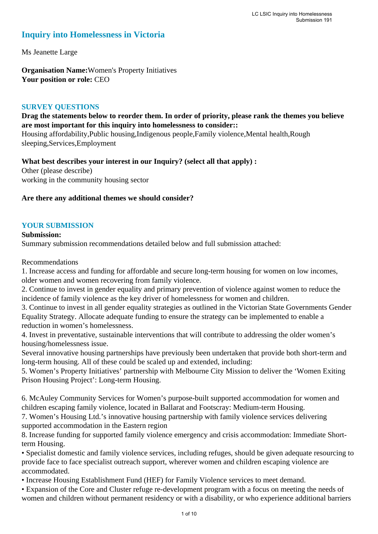## **Inquiry into Homelessness in Victoria**

Ms Jeanette Large

**Organisation Name:**Women's Property Initiatives **Your position or role:** CEO

## **SURVEY QUESTIONS**

## **Drag the statements below to reorder them. In order of priority, please rank the themes you believe are most important for this inquiry into homelessness to consider::**

Housing affordability,Public housing,Indigenous people,Family violence,Mental health,Rough sleeping,Services,Employment

**What best describes your interest in our Inquiry? (select all that apply) :** 

Other (please describe) working in the community housing sector

### **Are there any additional themes we should consider?**

### **YOUR SUBMISSION**

### **Submission:**

Summary submission recommendations detailed below and full submission attached:

Recommendations

1. Increase access and funding for affordable and secure long-term housing for women on low incomes, older women and women recovering from family violence.

2. Continue to invest in gender equality and primary prevention of violence against women to reduce the incidence of family violence as the key driver of homelessness for women and children.

3. Continue to invest in all gender equality strategies as outlined in the Victorian State Governments Gender Equality Strategy. Allocate adequate funding to ensure the strategy can be implemented to enable a reduction in women's homelessness.

4. Invest in preventative, sustainable interventions that will contribute to addressing the older women's housing/homelessness issue.

Several innovative housing partnerships have previously been undertaken that provide both short-term and long-term housing. All of these could be scaled up and extended, including:

5. Women's Property Initiatives' partnership with Melbourne City Mission to deliver the 'Women Exiting Prison Housing Project': Long-term Housing.

6. McAuley Community Services for Women's purpose-built supported accommodation for women and children escaping family violence, located in Ballarat and Footscray: Medium-term Housing.

7. Women's Housing Ltd.'s innovative housing partnership with family violence services delivering supported accommodation in the Eastern region

8. Increase funding for supported family violence emergency and crisis accommodation: Immediate Shortterm Housing.

• Specialist domestic and family violence services, including refuges, should be given adequate resourcing to provide face to face specialist outreach support, wherever women and children escaping violence are accommodated.

• Increase Housing Establishment Fund (HEF) for Family Violence services to meet demand.

• Expansion of the Core and Cluster refuge re-development program with a focus on meeting the needs of women and children without permanent residency or with a disability, or who experience additional barriers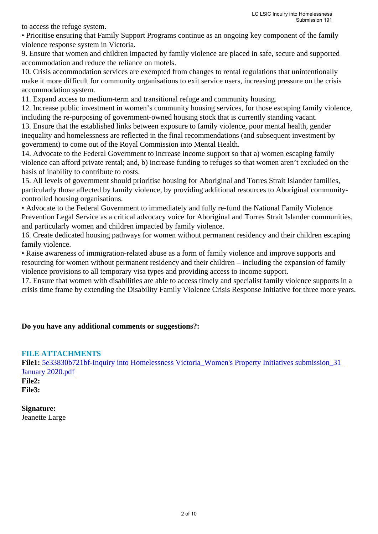to access the refuge system.

• Prioritise ensuring that Family Support Programs continue as an ongoing key component of the family violence response system in Victoria.

9. Ensure that women and children impacted by family violence are placed in safe, secure and supported accommodation and reduce the reliance on motels.

10. Crisis accommodation services are exempted from changes to rental regulations that unintentionally make it more difficult for community organisations to exit service users, increasing pressure on the crisis accommodation system.

11. Expand access to medium-term and transitional refuge and community housing.

12. Increase public investment in women's community housing services, for those escaping family violence, including the re-purposing of government-owned housing stock that is currently standing vacant.

13. Ensure that the established links between exposure to family violence, poor mental health, gender inequality and homelessness are reflected in the final recommendations (and subsequent investment by government) to come out of the Royal Commission into Mental Health.

14. Advocate to the Federal Government to increase income support so that a) women escaping family violence can afford private rental; and, b) increase funding to refuges so that women aren't excluded on the basis of inability to contribute to costs.

15. All levels of government should prioritise housing for Aboriginal and Torres Strait Islander families, particularly those affected by family violence, by providing additional resources to Aboriginal communitycontrolled housing organisations.

• Advocate to the Federal Government to immediately and fully re-fund the National Family Violence Prevention Legal Service as a critical advocacy voice for Aboriginal and Torres Strait Islander communities, and particularly women and children impacted by family violence.

16. Create dedicated housing pathways for women without permanent residency and their children escaping family violence.

• Raise awareness of immigration-related abuse as a form of family violence and improve supports and resourcing for women without permanent residency and their children – including the expansion of family violence provisions to all temporary visa types and providing access to income support.

17. Ensure that women with disabilities are able to access timely and specialist family violence supports in a crisis time frame by extending the Disability Family Violence Crisis Response Initiative for three more years.

## **Do you have any additional comments or suggestions?:**

### **FILE ATTACHMENTS**

**File1:** [5e33830b721bf-Inquiry into Homelessness Victoria\\_Women's Property Initiatives submission\\_31](https://www.parliament.vic.gov.au/component/rsform/submission-view-file/10973e1b9ed468dcf43c9b318cfa8dbe/2b06ae5d29aa77f9c924615c86e2b179?Itemid=527)  [January 2020.pdf](https://www.parliament.vic.gov.au/component/rsform/submission-view-file/10973e1b9ed468dcf43c9b318cfa8dbe/2b06ae5d29aa77f9c924615c86e2b179?Itemid=527) **File2: File3:** 

**Signature:** Jeanette Large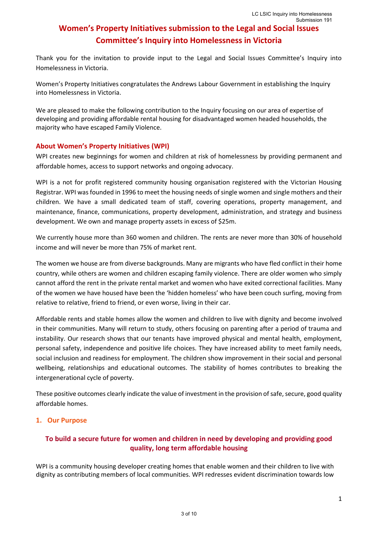Thank you for the invitation to provide input to the Legal and Social Issues Committee's Inquiry into Homelessness in Victoria.

Women's Property Initiatives congratulates the Andrews Labour Government in establishing the Inquiry into Homelessness in Victoria.

We are pleased to make the following contribution to the Inquiry focusing on our area of expertise of developing and providing affordable rental housing for disadvantaged women headed households, the majority who have escaped Family Violence.

#### **About Women's Property Initiatives (WPI)**

WPI creates new beginnings for women and children at risk of homelessness by providing permanent and affordable homes, access to support networks and ongoing advocacy.

WPI is a not for profit registered community housing organisation registered with the Victorian Housing Registrar. WPI was founded in 1996 to meet the housing needs of single women and single mothers and their children. We have a small dedicated team of staff, covering operations, property management, and maintenance, finance, communications, property development, administration, and strategy and business development. We own and manage property assets in excess of \$25m.

We currently house more than 360 women and children. The rents are never more than 30% of household income and will never be more than 75% of market rent.

The women we house are from diverse backgrounds. Many are migrants who have fled conflict in their home country, while others are women and children escaping family violence. There are older women who simply cannot afford the rent in the private rental market and women who have exited correctional facilities. Many of the women we have housed have been the 'hidden homeless' who have been couch surfing, moving from relative to relative, friend to friend, or even worse, living in their car.

Affordable rents and stable homes allow the women and children to live with dignity and become involved in their communities. Many will return to study, others focusing on parenting after a period of trauma and instability. Our research shows that our tenants have improved physical and mental health, employment, personal safety, independence and positive life choices. They have increased ability to meet family needs, social inclusion and readiness for employment. The children show improvement in their social and personal wellbeing, relationships and educational outcomes. The stability of homes contributes to breaking the intergenerational cycle of poverty.

These positive outcomes clearly indicate the value of investment in the provision of safe, secure, good quality affordable homes.

### **1. Our Purpose**

## **To build a secure future for women and children in need by developing and providing good quality, long term affordable housing**

WPI is a community housing developer creating homes that enable women and their children to live with dignity as contributing members of local communities. WPI redresses evident discrimination towards low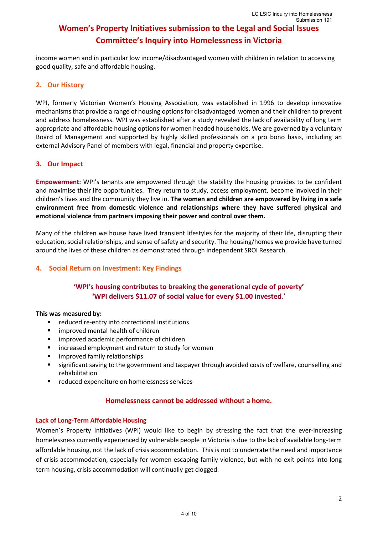income women and in particular low income/disadvantaged women with children in relation to accessing good quality, safe and affordable housing.

### **2. Our History**

WPI, formerly Victorian Women's Housing Association, was established in 1996 to develop innovative mechanisms that provide a range of housing options for disadvantaged women and their children to prevent and address homelessness. WPI was established after a study revealed the lack of availability of long term appropriate and affordable housing options for women headed households. We are governed by a voluntary Board of Management and supported by highly skilled professionals on a pro bono basis, including an external Advisory Panel of members with legal, financial and property expertise.

### **3. Our Impact**

**Empowerment:** WPI's tenants are empowered through the stability the housing provides to be confident and maximise their life opportunities. They return to study, access employment, become involved in their children's lives and the community they live in. **The women and children are empowered by living in a safe environment free from domestic violence and relationships where they have suffered physical and emotional violence from partners imposing their power and control over them.**

Many of the children we house have lived transient lifestyles for the majority of their life, disrupting their education, social relationships, and sense of safety and security. The housing/homes we provide have turned around the lives of these children as demonstrated through independent SROI Research.

### **4. Social Return on Investment: Key Findings**

### **'WPI's housing contributes to breaking the generational cycle of poverty' 'WPI delivers \$11.07 of social value for every \$1.00 invested**.'

#### **This was measured by:**

- reduced re-entry into correctional institutions
- improved mental health of children
- improved academic performance of children
- increased employment and return to study for women
- improved family relationships
- significant saving to the government and taxpayer through avoided costs of welfare, counselling and rehabilitation
- reduced expenditure on homelessness services

#### **Homelessness cannot be addressed without a home.**

#### **Lack of Long-Term Affordable Housing**

Women's Property Initiatives (WPI) would like to begin by stressing the fact that the ever-increasing homelessness currently experienced by vulnerable people in Victoria is due to the lack of available long-term affordable housing, not the lack of crisis accommodation. This is not to underrate the need and importance of crisis accommodation, especially for women escaping family violence, but with no exit points into long term housing, crisis accommodation will continually get clogged.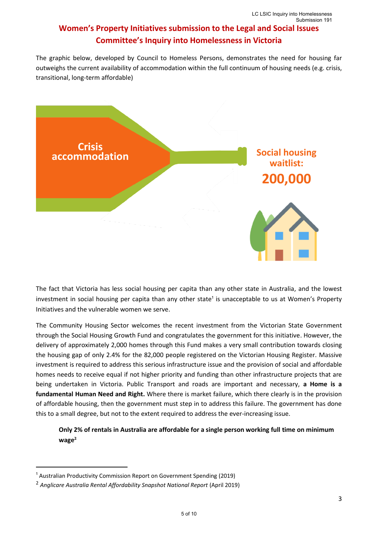The graphic below, developed by Council to Homeless Persons, demonstrates the need for housing far outweighs the current availability of accommodation within the full continuum of housing needs (e.g. crisis, transitional, long-term affordable)



The fact that Victoria has less social housing per capita than any other state in Australia, and the lowest investment in social housing per capita than any other state<sup>1</sup> is unacceptable to us at Women's Property Initiatives and the vulnerable women we serve.

The Community Housing Sector welcomes the recent investment from the Victorian State Government through the Social Housing Growth Fund and congratulates the government for this initiative. However, the delivery of approximately 2,000 homes through this Fund makes a very small contribution towards closing the housing gap of only 2.4% for the 82,000 people registered on the Victorian Housing Register. Massive investment is required to address this serious infrastructure issue and the provision of social and affordable homes needs to receive equal if not higher priority and funding than other infrastructure projects that are being undertaken in Victoria. Public Transport and roads are important and necessary, **a Home is a fundamental Human Need and Right.** Where there is market failure, which there clearly is in the provision of affordable housing, then the government must step in to address this failure. The government has done this to a small degree, but not to the extent required to address the ever-increasing issue.

**Only 2% of rentals in Australia are affordable for a single person working full time on minimum wage<sup>2</sup>**

<sup>1</sup> Australian Productivity Commission Report on Government Spending (2019)

<sup>&</sup>lt;sup>2</sup> Anglicare Australia Rental Affordability Snapshot National Report (April 2019)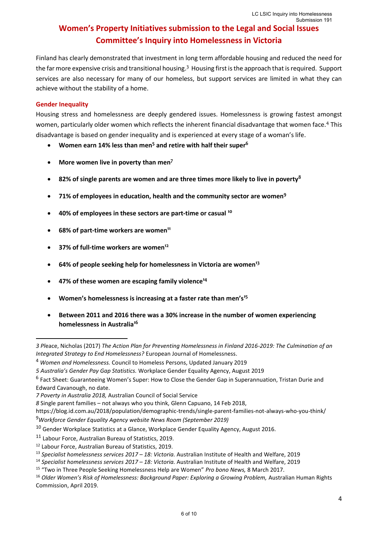Finland has clearly demonstrated that investment in long term affordable housing and reduced the need for the far more expensive crisis and transitional housing.<sup>3</sup> Housing first is the approach that is required. Support services are also necessary for many of our homeless, but support services are limited in what they can achieve without the stability of a home.

#### **Gender Inequality**

Housing stress and homelessness are deeply gendered issues. Homelessness is growing fastest amongst women, particularly older women which reflects the inherent financial disadvantage that women face.<sup>4</sup> This disadvantage is based on gender inequality and is experienced at every stage of a woman's life.

- **Women earn 14% less than men<sup>5</sup> and retire with half their super<sup>6</sup>**
- **More women live in poverty than men<sup>7</sup>**
- **82% of single parents are women and are three times more likely to live in poverty<sup>8</sup>**
- **71% of employees in education, health and the community sector are women<sup>9</sup>**
- **40% of employees in these sectors are part-time or casual 10**
- **68% of part-time workers are women<sup>11</sup>**
- **37% of full-time workers are women<sup>12</sup>**
- **64% of people seeking help for homelessness in Victoria are women<sup>13</sup>**
- **47% of these women are escaping family violence<sup>14</sup>**
- **Women's homelessness is increasing at a faster rate than men's<sup>15</sup>**
- **Between 2011 and 2016 there was a 30% increase in the number of women experiencing homelessness in Australia<sup>16</sup>**

*<sup>3</sup> Pl*eace, Nicholas (2017) *The Action Plan for Preventing Homelessness in Finland 2016-2019: The Culmination of an Integrated Strategy to End Homelessness?* European Journal of Homelessness.

<sup>4</sup> *Women and Homelessness.* Council to Homeless Persons, Updated January 2019

*<sup>5</sup> Australia's Gender Pay Gap Statistics.* Workplace Gender Equality Agency, August 2019

<sup>&</sup>lt;sup>6</sup> Fact Sheet: Guaranteeing Women's Super: How to Close the Gender Gap in Superannuation, Tristan Durie and Edward Cavanough, no date.

*<sup>7</sup> Poverty in Australia 2018,* Australian Council of Social Service

*<sup>8</sup>* Single parent families – not always who you think, Glenn Capuano, 14 Feb 2018,

https://blog.id.com.au/2018/population/demographic-trends/single-parent-families-not-always-who-you-think/ <sup>9</sup>*Workforce Gender Equality Agency website News Room (September 2019)* 

<sup>10</sup> Gender Workplace Statistics at a Glance, Workplace Gender Equality Agency, August 2016.

<sup>11</sup> Labour Force, Australian Bureau of Statistics, 2019.

<sup>12</sup> Labour Force, Australian Bureau of Statistics, 2019.

<sup>13</sup> *Specialist homelessness services 2017 – 18: Victoria.* Australian Institute of Health and Welfare, 2019

<sup>14</sup> *Specialist homelessness services 2017 – 18: Victoria.* Australian Institute of Health and Welfare, 2019

<sup>15</sup> "Two in Three People Seeking Homelessness Help are Women" *Pro bono News,* 8 March 2017.

<sup>&</sup>lt;sup>16</sup> Older Women's Risk of Homelessness: Background Paper: Exploring a Growing Problem, Australian Human Rights Commission, April 2019.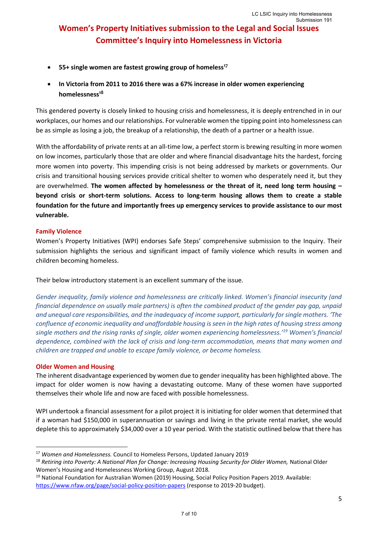- **55+ single women are fastest growing group of homeless<sup>17</sup>**
- **In Victoria from 2011 to 2016 there was a 67% increase in older women experiencing homelessness<sup>18</sup>**

This gendered poverty is closely linked to housing crisis and homelessness, it is deeply entrenched in in our workplaces, our homes and our relationships. For vulnerable women the tipping point into homelessness can be as simple as losing a job, the breakup of a relationship, the death of a partner or a health issue.

With the affordability of private rents at an all-time low, a perfect storm is brewing resulting in more women on low incomes, particularly those that are older and where financial disadvantage hits the hardest, forcing more women into poverty. This impending crisis is not being addressed by markets or governments. Our crisis and transitional housing services provide critical shelter to women who desperately need it, but they are overwhelmed. **The women affected by homelessness or the threat of it, need long term housing – beyond crisis or short-term solutions. Access to long-term housing allows them to create a stable foundation for the future and importantly frees up emergency services to provide assistance to our most vulnerable.** 

#### **Family Violence**

Women's Property Initiatives (WPI) endorses Safe Steps' comprehensive submission to the Inquiry. Their submission highlights the serious and significant impact of family violence which results in women and children becoming homeless.

Their below introductory statement is an excellent summary of the issue.

*Gender inequality, family violence and homelessness are critically linked. Women's financial insecurity (and financial dependence on usually male partners) is often the combined product of the gender pay gap, unpaid and unequal care responsibilities, and the inadequacy of income support, particularly for single mothers. 'The confluence of economic inequality and unaffordable housing is seen in the high rates of housing stress among single mothers and the rising ranks of single, older women experiencing homelessness.'<sup>19</sup> Women's financial dependence, combined with the lack of crisis and long-term accommodation, means that many women and children are trapped and unable to escape family violence, or become homeless.* 

#### **Older Women and Housing**

The inherent disadvantage experienced by women due to gender inequality has been highlighted above. The impact for older women is now having a devastating outcome. Many of these women have supported themselves their whole life and now are faced with possible homelessness.

WPI undertook a financial assessment for a pilot project it is initiating for older women that determined that if a woman had \$150,000 in superannuation or savings and living in the private rental market, she would deplete this to approximately \$34,000 over a 10 year period. With the statistic outlined below that there has

<sup>17</sup> *Women and Homelessness.* Council to Homeless Persons, Updated January 2019

<sup>&</sup>lt;sup>18</sup> Retiring into Poverty: A National Plan for Change: Increasing Housing Security for Older Women, National Older Women's Housing and Homelessness Working Group, August 2018.

<sup>&</sup>lt;sup>19</sup> National Foundation for Australian Women (2019) Housing, Social Policy Position Papers 2019. Available: <https://www.nfaw.org/page/social-policy-position-papers> (response to 2019-20 budget).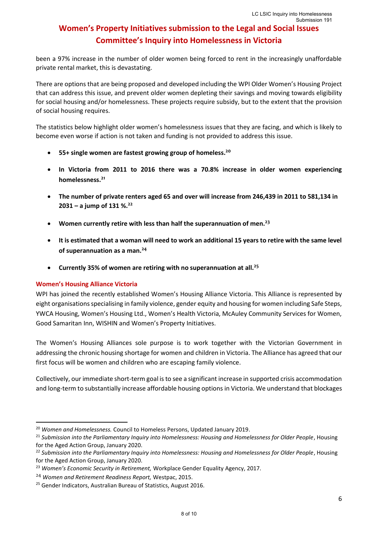been a 97% increase in the number of older women being forced to rent in the increasingly unaffordable private rental market, this is devastating.

There are options that are being proposed and developed including the WPI Older Women's Housing Project that can address this issue, and prevent older women depleting their savings and moving towards eligibility for social housing and/or homelessness. These projects require subsidy, but to the extent that the provision of social housing requires.

The statistics below highlight older women's homelessness issues that they are facing, and which is likely to become even worse if action is not taken and funding is not provided to address this issue.

- **55+ single women are fastest growing group of homeless. 20**
- **In Victoria from 2011 to 2016 there was a 70.8% increase in older women experiencing homelessness. 21**
- **The number of private renters aged 65 and over will increase from 246,439 in 2011 to 581,134 in 2031 – a jump of 131 %.<sup>22</sup>**
- **Women currently retire with less than half the superannuation of men.<sup>23</sup>**
- **It is estimated that a woman will need to work an additional 15 years to retire with the same level of superannuation as a man. 24**
- **Currently 35% of women are retiring with no superannuation at all.<sup>25</sup>**

#### **Women's Housing Alliance Victoria**

WPI has joined the recently established Women's Housing Alliance Victoria. This Alliance is represented by eight organisations specialising in family violence, gender equity and housing for women including Safe Steps, YWCA Housing, Women's Housing Ltd., Women's Health Victoria, McAuley Community Services for Women, Good Samaritan Inn, WISHIN and Women's Property Initiatives.

The Women's Housing Alliances sole purpose is to work together with the Victorian Government in addressing the chronic housing shortage for women and children in Victoria. The Alliance has agreed that our first focus will be women and children who are escaping family violence.

Collectively, our immediate short-term goal is to see a significant increase in supported crisis accommodation and long-term to substantially increase affordable housing options in Victoria. We understand that blockages

<sup>20</sup> *Women and Homelessness.* Council to Homeless Persons, Updated January 2019.

<sup>&</sup>lt;sup>21</sup> Submission into the Parliamentary Inquiry into Homelessness: Housing and Homelessness for Older People, Housing for the Aged Action Group, January 2020.

<sup>22</sup> *Submission into the Parliamentary Inquiry into Homelessness: Housing and Homelessness for Older People*, Housing for the Aged Action Group, January 2020.

<sup>23</sup> *Women's Economic Security in Retirement,* Workplace Gender Equality Agency, 2017.

<sup>24</sup> *Women and Retirement Readiness Report,* Westpac, 2015.

<sup>&</sup>lt;sup>25</sup> Gender Indicators, Australian Bureau of Statistics, August 2016.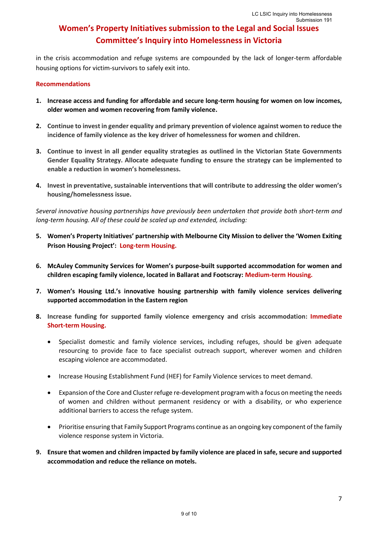in the crisis accommodation and refuge systems are compounded by the lack of longer-term affordable housing options for victim-survivors to safely exit into.

#### **Recommendations**

- **1. Increase access and funding for affordable and secure long-term housing for women on low incomes, older women and women recovering from family violence.**
- **2. Continue to invest in gender equality and primary prevention of violence against women to reduce the incidence of family violence as the key driver of homelessness for women and children.**
- **3. Continue to invest in all gender equality strategies as outlined in the Victorian State Governments Gender Equality Strategy. Allocate adequate funding to ensure the strategy can be implemented to enable a reduction in women's homelessness.**
- **4. Invest in preventative, sustainable interventions that will contribute to addressing the older women's housing/homelessness issue.**

*Several innovative housing partnerships have previously been undertaken that provide both short-term and long-term housing. All of these could be scaled up and extended, including:* 

- **5. Women's Property Initiatives' partnership with Melbourne City Mission to deliver the 'Women Exiting Prison Housing Project': Long-term Housing.**
- **6. McAuley Community Services for Women's purpose-built supported accommodation for women and children escaping family violence, located in Ballarat and Footscray: Medium-term Housing.**
- **7. Women's Housing Ltd.'s innovative housing partnership with family violence services delivering supported accommodation in the Eastern region**
- **8. Increase funding for supported family violence emergency and crisis accommodation: Immediate Short-term Housing.**
	- Specialist domestic and family violence services, including refuges, should be given adequate resourcing to provide face to face specialist outreach support, wherever women and children escaping violence are accommodated.
	- Increase Housing Establishment Fund (HEF) for Family Violence services to meet demand.
	- Expansion of the Core and Cluster refuge re-development program with a focus on meeting the needs of women and children without permanent residency or with a disability, or who experience additional barriers to access the refuge system.
	- Prioritise ensuring that Family Support Programs continue as an ongoing key component of the family violence response system in Victoria.
- **9. Ensure that women and children impacted by family violence are placed in safe, secure and supported accommodation and reduce the reliance on motels.**